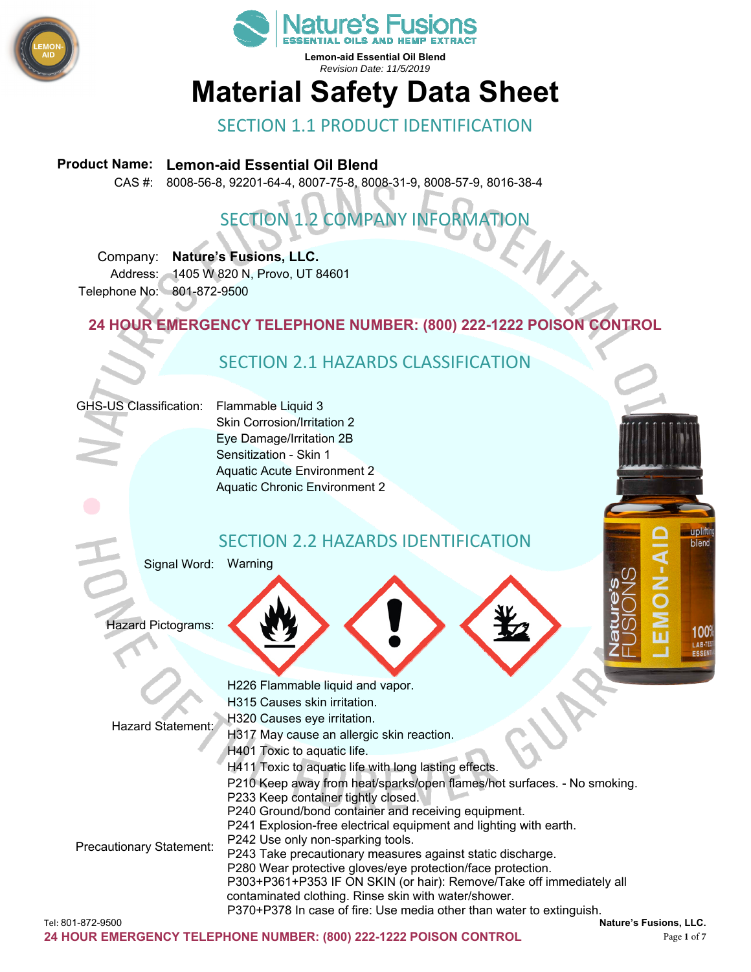



# **Material Safety Data Sheet**

#### SECTION 1.1 PRODUCT IDENTIFICATION

#### **Product Name: Lemon-aid Essential Oil Blend**

CAS #: 8008-56-8, 92201-64-4, 8007-75-8, 8008-31-9, 8008-57-9, 8016-38-4

## SECTION 1.2 COMPANY INFORMATION

Company: **Nature's Fusions, LLC.**  Address: 1405 W 820 N, Provo, UT 84601 Telephone No: 801-872-9500

**24 HOUR EMERGENCY TELEPHONE NUMBER: (800) 222-1222 POISON CONTROL** 

#### SECTION 2.1 HAZARDS CLASSIFICATION

#### GHS-US Classification: Flammable Liquid 3

Skin Corrosion/Irritation 2 Eye Damage/Irritation 2B Sensitization - Skin 1 Aquatic Acute Environment 2 Aquatic Chronic Environment 2

#### SECTION 2.2 HAZARDS IDENTIFICATION

Signal Word: Warning

Hazard Pictograms:

| <b>Hazard Statement:</b>        | H226 Flammable liquid and vapor.                                        |
|---------------------------------|-------------------------------------------------------------------------|
|                                 | H315 Causes skin irritation.                                            |
|                                 | H320 Causes eye irritation.                                             |
|                                 | H317 May cause an allergic skin reaction.                               |
|                                 | H401 Toxic to aquatic life.                                             |
| <b>Precautionary Statement:</b> | H411 Toxic to aquatic life with long lasting effects.                   |
|                                 | P210 Keep away from heat/sparks/open flames/hot surfaces. - No smoking. |
|                                 | P233 Keep container tightly closed.                                     |
|                                 | P240 Ground/bond container and receiving equipment.                     |
|                                 | P241 Explosion-free electrical equipment and lighting with earth.       |
|                                 | P242 Use only non-sparking tools.                                       |
|                                 | P243 Take precautionary measures against static discharge.              |
|                                 | P280 Wear protective gloves/eye protection/face protection.             |
|                                 | P303+P361+P353 IF ON SKIN (or hair): Remove/Take off immediately all    |
|                                 | contaminated clothing. Rinse skin with water/shower.                    |
|                                 | P370+P378 In case of fire: Use media other than water to extinguish.    |
| Tel: 801-872-9500               | Nature's Fusions, LLC.                                                  |

**upliftir** blend

> **100°** LAB-TE ESSE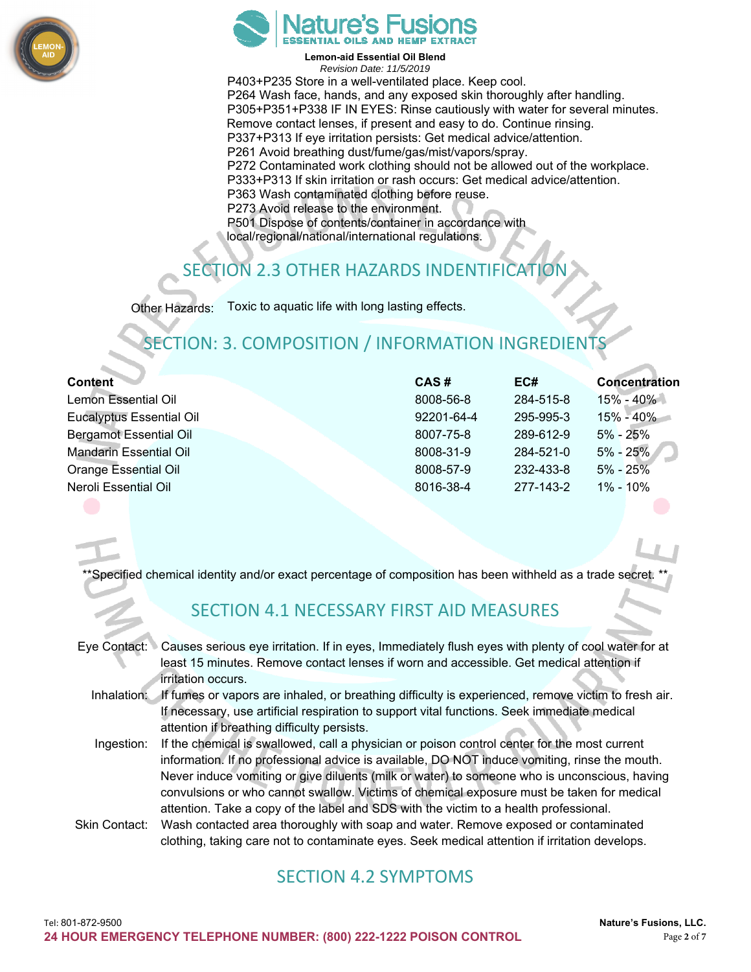



P403+P235 Store in a well-ventilated place. Keep cool. P264 Wash face, hands, and any exposed skin thoroughly after handling. P305+P351+P338 IF IN EYES: Rinse cautiously with water for several minutes. Remove contact lenses, if present and easy to do. Continue rinsing. P337+P313 If eye irritation persists: Get medical advice/attention. P261 Avoid breathing dust/fume/gas/mist/vapors/spray. P272 Contaminated work clothing should not be allowed out of the workplace. P333+P313 If skin irritation or rash occurs: Get medical advice/attention. P363 Wash contaminated clothing before reuse. P273 Avoid release to the environment. P501 Dispose of contents/container in accordance with local/regional/national/international regulations.

## CTION 2.3 OTHER HAZARDS INDENTIFICATIO

Other Hazards: Toxic to aquatic life with long lasting effects.

### SECTION: 3. COMPOSITION / INFORMATION INGREDI

| <b>Content</b>                  | CAS#       | EC#       | <b>Concentration</b> |
|---------------------------------|------------|-----------|----------------------|
| Lemon Essential Oil             | 8008-56-8  | 284-515-8 | $15\% - 40\%$        |
| <b>Eucalyptus Essential Oil</b> | 92201-64-4 | 295-995-3 | $15\% - 40\%$        |
| <b>Bergamot Essential Oil</b>   | 8007-75-8  | 289-612-9 | $5\% - 25\%$         |
| <b>Mandarin Essential Oil</b>   | 8008-31-9  | 284-521-0 | $5\% - 25\%$         |
| <b>Orange Essential Oil</b>     | 8008-57-9  | 232-433-8 | $5\% - 25\%$         |
| Neroli Essential Oil            | 8016-38-4  | 277-143-2 | $1\% - 10\%$         |
|                                 |            |           |                      |

Specified chemical identity and/or exact percentage of composition has been withheld as a trade secret.

#### SECTION 4.1 NECESSARY FIRST AID MEASURES

| Eye Contact: $\triangleright$ | Causes serious eye irritation. If in eyes, Immediately flush eyes with plenty of cool water for at<br>least 15 minutes. Remove contact lenses if worn and accessible. Get medical attention if |
|-------------------------------|------------------------------------------------------------------------------------------------------------------------------------------------------------------------------------------------|
|                               | irritation occurs.                                                                                                                                                                             |
|                               | Inhalation: If fumes or vapors are inhaled, or breathing difficulty is experienced, remove victim to fresh air.                                                                                |
|                               | If necessary, use artificial respiration to support vital functions. Seek immediate medical                                                                                                    |
|                               | attention if breathing difficulty persists.                                                                                                                                                    |
| Ingestion:                    | If the chemical is swallowed, call a physician or poison control center for the most current                                                                                                   |
|                               | information. If no professional advice is available, DO NOT induce vomiting, rinse the mouth.                                                                                                  |
|                               | Never induce vomiting or give diluents (milk or water) to someone who is unconscious, having                                                                                                   |
|                               | convulsions or who cannot swallow. Victims of chemical exposure must be taken for medical                                                                                                      |
|                               | attention. Take a copy of the label and SDS with the victim to a health professional.                                                                                                          |
| Skin Contact:                 | Wash contacted area thoroughly with soap and water. Remove exposed or contaminated                                                                                                             |

Skin Contact: Wash contacted area thoroughly with soap and water. Remove exposed or contaminated clothing, taking care not to contaminate eyes. Seek medical attention if irritation develops.

#### SECTION 4.2 SYMPTOMS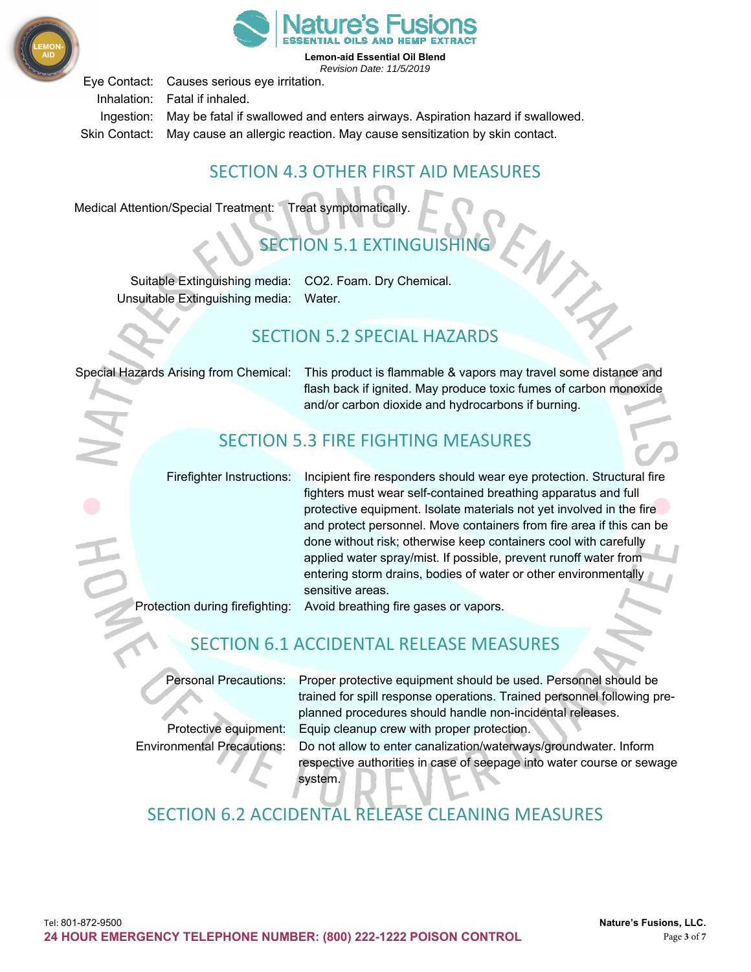



Eye Contact: Causes serious eye irritation. Inhalation: Fatal if inhaled. Ingestion: May be fatal if swallowed and enters airways. Aspiration hazard if swallowed.

Skin Contact: May cause an allergic reaction. May cause sensitization by skin contact.

#### SECTION 4.3 OTHER FIRST AID MEASURES

Medical Attention/Special Treatment: Treat symptomatically.

## SECTION 5.1 EXTINGUISHING

Suitable Extinguishing media: CO2. Foam. Dry Chemical. Unsuitable Extinguishing media: Water.

#### SECTION 5.2 SPECIAL HAZARDS

Special Hazards Arising from Chemical: This product is flammable & vapors may travel some distance and flash back if ignited. May produce toxic fumes of carbon monoxide and/or carbon dioxide and hydrocarbons if burning.

### SECTION 5.3 FIRE FIGHTING MEASURES

Firefighter Instructions: Incipient fire responders should wear eye protection. Structural fire fighters must wear self-contained breathing apparatus and full protective equipment. Isolate materials not yet involved in the fire and protect personnel. Move containers from fire area if this can be done without risk; otherwise keep containers cool with carefully applied water spray/mist. If possible, prevent runoff water from entering storm drains, bodies of water or other environmentally sensitive areas.

Protection during firefighting: Avoid breathing fire gases or vapors.

## SECTION 6.1 ACCIDENTAL RELEASE MEASURES

Personal Precautions: Proper protective equipment should be used. Personnel should be trained for spill response operations. Trained personnel following preplanned procedures should handle non-incidental releases. Protective equipment: Equip cleanup crew with proper protection.

Environmental Precautions: Do not allow to enter canalization/waterways/groundwater. Inform respective authorities in case of seepage into water course or sewage system.

## SECTION 6.2 ACCIDENTAL RELEASE CLEANING MEASURES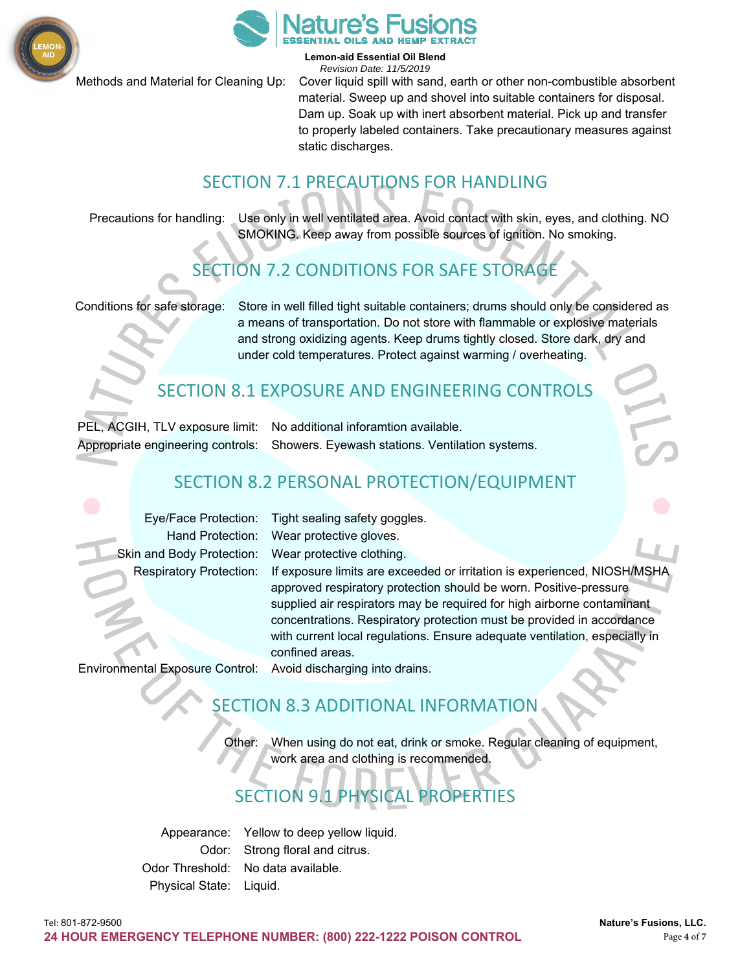



Methods and Material for Cleaning Up: Cover liquid spill with sand, earth or other non-combustible absorbent material. Sweep up and shovel into suitable containers for disposal. Dam up. Soak up with inert absorbent material. Pick up and transfer to properly labeled containers. Take precautionary measures against static discharges.

#### SECTION 7.1 PRECAUTIONS FOR HANDLING

Precautions for handling: Use only in well ventilated area. Avoid contact with skin, eyes, and clothing. NO SMOKING. Keep away from possible sources of ignition. No smoking.

### SECTION 7.2 CONDITIONS FOR SAFE STORAGE

Conditions for safe storage: Store in well filled tight suitable containers; drums should only be considered as a means of transportation. Do not store with flammable or explosive materials and strong oxidizing agents. Keep drums tightly closed. Store dark, dry and under cold temperatures. Protect against warming / overheating.

#### SECTION 8.1 EXPOSURE AND ENGINEERING CONTROLS

PEL, ACGIH, TLV exposure limit: No additional inforamtion available.

Appropriate engineering controls: Showers. Eyewash stations. Ventilation systems.

#### SECTION 8.2 PERSONAL PROTECTION/EQUIPMENT

Skin and Body Protection: Wear protective clothing.

Eye/Face Protection: Tight sealing safety goggles. Hand Protection: Wear protective gloves.

Respiratory Protection: If exposure limits are exceeded or irritation is experienced, NIOSH/MSHA approved respiratory protection should be worn. Positive-pressure supplied air respirators may be required for high airborne contaminant concentrations. Respiratory protection must be provided in accordance with current local regulations. Ensure adequate ventilation, especially in confined areas.

Environmental Exposure Control: Avoid discharging into drains.

#### SECTION 8.3 ADDITIONAL INFORMATION

Other: When using do not eat, drink or smoke. Regular cleaning of equipment, work area and clothing is recommended.

## SECTION 9.1 PHYSICAL PROPERTIES

Appearance: Yellow to deep yellow liquid. Odor: Strong floral and citrus. Odor Threshold: No data available. Physical State: Liquid.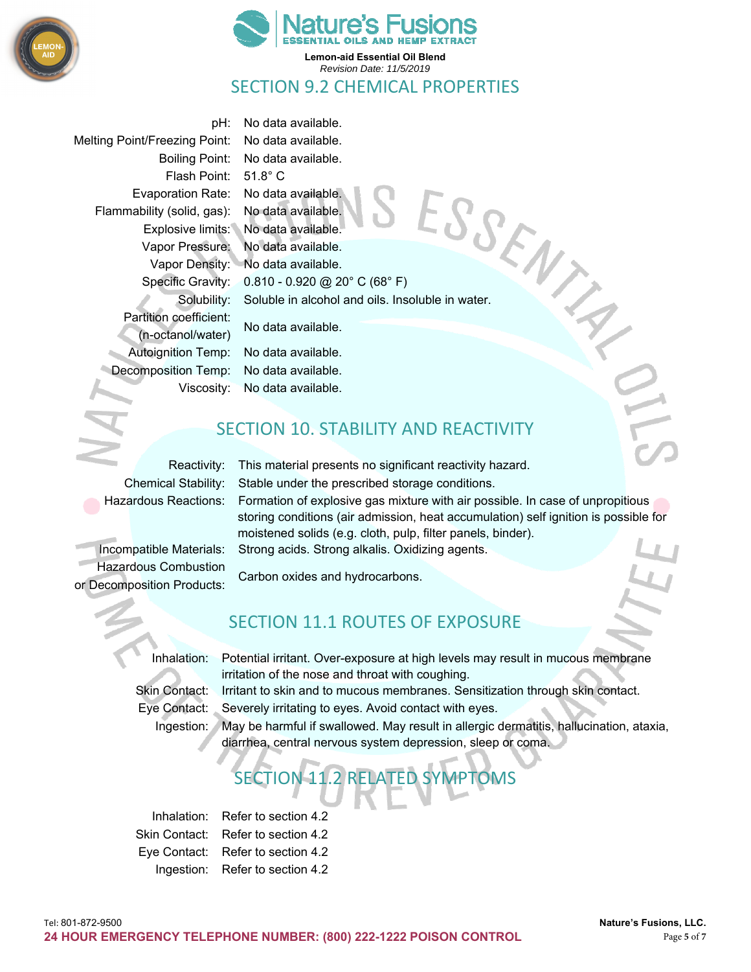



#### SECTION 9.2 CHEMICAL PROPERTIES

Melting Point/Freezing Point: No data available. Flash Point: 51.8° C Evaporation Rate: No data available. Flammability (solid, gas): No data available. Partition coefficient: No data available. (n-octanol/water) Autoignition Temp: No data available. Decomposition Temp: No data available.

pH: No data available. Boiling Point: No data available. Explosive limits: No data available. Vapor Pressure: No data available. Vapor Density: No data available. Specific Gravity: 0.810 - 0.920 @ 20° C (68° F) Ilmy .<br>
ash Point: 51.<br>
ash Point: No data available.<br>
Solubility: No data available.<br>
Pressure: No data available.<br>
Pressure: No data available.<br>
The Cravity: 0.810 - 0.920 @ 20° C (68° F)<br>
Solubility: Soluble in alcohol

Viscosity: No data available.

#### SECTION 10. STABILITY AND REACTIVITY

Hazardous Combustion Carbon oxides and hydrocarbons. or Decomposition Products:

Reactivity: This material presents no significant reactivity hazard. Chemical Stability: Stable under the prescribed storage conditions. Hazardous Reactions: Formation of explosive gas mixture with air possible. In case of unpropitious storing conditions (air admission, heat accumulation) self ignition is possible for moistened solids (e.g. cloth, pulp, filter panels, binder). Incompatible Materials: Strong acids. Strong alkalis. Oxidizing agents.

#### SECTION 11.1 ROUTES OF EXPOSURE

Inhalation: Potential irritant. Over-exposure at high levels may result in mucous membrane irritation of the nose and throat with coughing.

Skin Contact: Irritant to skin and to mucous membranes. Sensitization through skin contact. Eye Contact: Severely irritating to eyes. Avoid contact with eyes.

Ingestion: May be harmful if swallowed. May result in allergic dermatitis, hallucination, ataxia, diarrhea, central nervous system depression, sleep or coma.

# SECTION 11.2 RELATED SYMPTOMS

Inhalation: Refer to section 4.2 Skin Contact: Refer to section 4.2 Eye Contact: Refer to section 4.2 Ingestion: Refer to section 4.2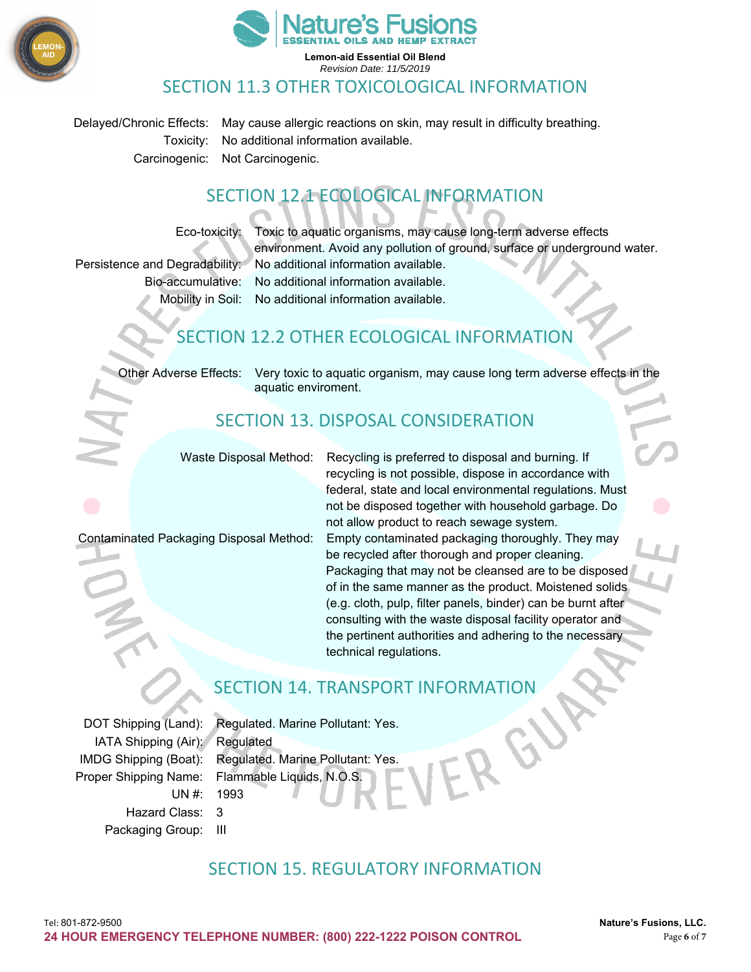



#### SECTION 11.3 OTHER TOXICOLOGICAL INFORMATION

Delayed/Chronic Effects: May cause allergic reactions on skin, may result in difficulty breathing. Toxicity: No additional information available. Carcinogenic: Not Carcinogenic.

#### SECTION 12.1 ECOLOGICAL INFORMATION

Eco-toxicity: Toxic to aquatic organisms, may cause long-term adverse effects environment. Avoid any pollution of ground, surface or underground water. Persistence and Degradability: No additional information available. Bio-accumulative: No additional information available.

Mobility in Soil: No additional information available.

#### SECTION 12.2 OTHER ECOLOGICAL INFORMATION

Other Adverse Effects: Very toxic to aquatic organism, may cause long term adverse effects in the aquatic enviroment.

#### SECTION 13. DISPOSAL CONSIDERATION

Waste Disposal Method: Recycling is preferred to disposal and burning. If recycling is not possible, dispose in accordance with federal, state and local environmental regulations. Must not be disposed together with household garbage. Do not allow product to reach sewage system. Contaminated Packaging Disposal Method: Empty contaminated packaging thoroughly. They may be recycled after thorough and proper cleaning. Packaging that may not be cleansed are to be disposed of in the same manner as the product. Moistened solids (e.g. cloth, pulp, filter panels, binder) can be burnt after consulting with the waste disposal facility operator and the pertinent authorities and adhering to the necessary technical regulations.

#### SECTION 14. TRANSPORT INFORMATION

IATA Shipping (Air): Regulated UN #: 1993 Hazard Class: 3 Packaging Group: III

DOT Shipping (Land): Regulated. Marine Pollutant: Yes. IMDG Shipping (Boat): Regulated. Marine Pollutant: Yes. Proper Shipping Name: Flammable Liquids, N.O.S.

#### SECTION 15. REGULATORY INFORMATION